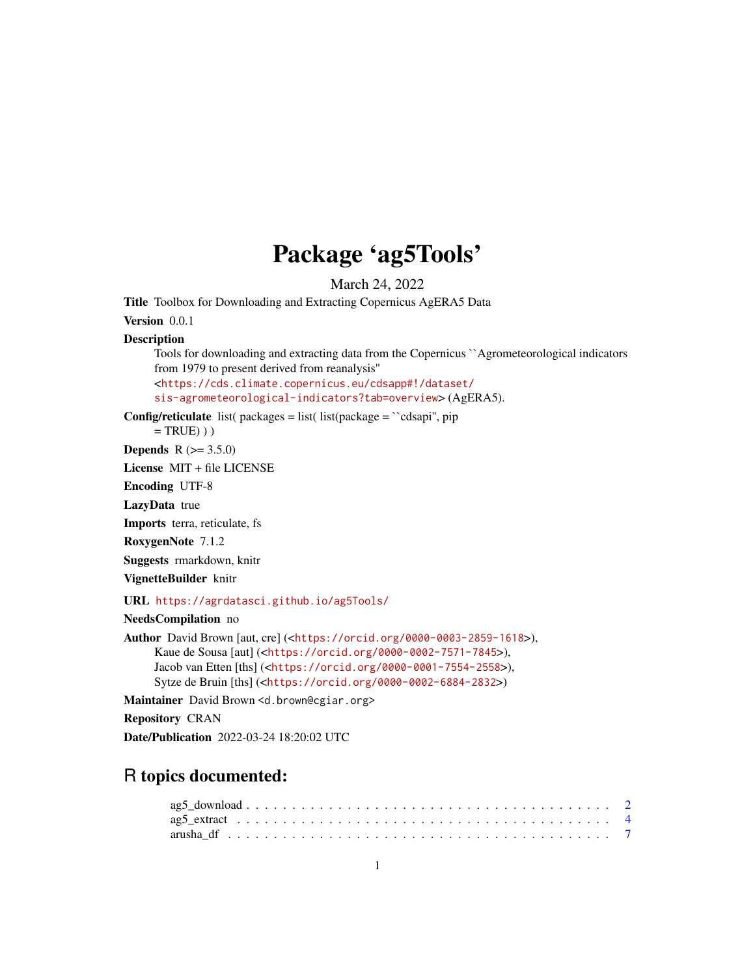## Package 'ag5Tools'

March 24, 2022

Title Toolbox for Downloading and Extracting Copernicus AgERA5 Data

Version 0.0.1

#### **Description**

Tools for downloading and extracting data from the Copernicus ``Agrometeorological indicators from 1979 to present derived from reanalysis'' <[https://cds.climate.copernicus.eu/cdsapp#!/dataset/](https://cds.climate.copernicus.eu/cdsapp#!/dataset/sis-agrometeorological-indicators?tab=overview)

```
sis-agrometeorological-indicators?tab=overview> (AgERA5).
```
**Config/reticulate** list( packages = list( list(package =  $\degree$ cdsapi'', pip

 $= TRUE)$ )

**Depends** R  $(>= 3.5.0)$ 

License MIT + file LICENSE

Encoding UTF-8

LazyData true

Imports terra, reticulate, fs

RoxygenNote 7.1.2

Suggests rmarkdown, knitr

VignetteBuilder knitr

URL <https://agrdatasci.github.io/ag5Tools/>

NeedsCompilation no

Author David Brown [aut, cre] (<<https://orcid.org/0000-0003-2859-1618>>), Kaue de Sousa [aut] (<<https://orcid.org/0000-0002-7571-7845>>), Jacob van Etten [ths] (<<https://orcid.org/0000-0001-7554-2558>>), Sytze de Bruin [ths] (<<https://orcid.org/0000-0002-6884-2832>>)

Maintainer David Brown <d.brown@cgiar.org>

Repository CRAN

Date/Publication 2022-03-24 18:20:02 UTC

### R topics documented: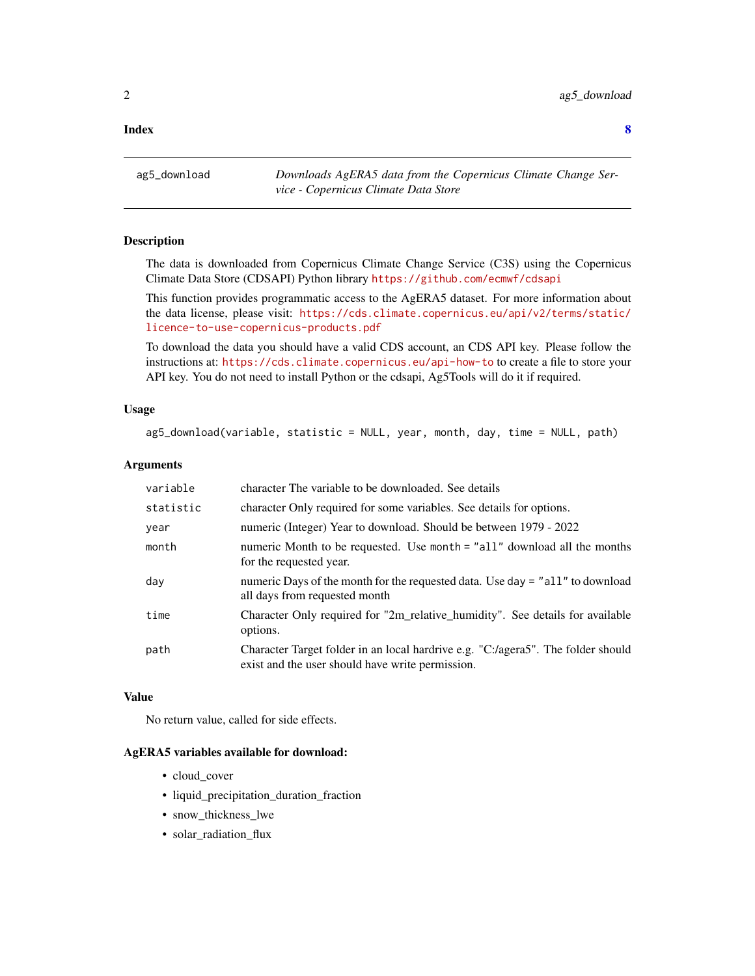#### <span id="page-1-0"></span>**Index** [8](#page-7-0) **8**

ag5\_download *Downloads AgERA5 data from the Copernicus Climate Change Service - Copernicus Climate Data Store*

#### Description

The data is downloaded from Copernicus Climate Change Service (C3S) using the Copernicus Climate Data Store (CDSAPI) Python library <https://github.com/ecmwf/cdsapi>

This function provides programmatic access to the AgERA5 dataset. For more information about the data license, please visit: [https://cds.climate.copernicus.eu/api/v2/terms/static/](https://cds.climate.copernicus.eu/api/v2/terms/static/licence-to-use-copernicus-products.pdf) [licence-to-use-copernicus-products.pdf](https://cds.climate.copernicus.eu/api/v2/terms/static/licence-to-use-copernicus-products.pdf)

To download the data you should have a valid CDS account, an CDS API key. Please follow the instructions at: <https://cds.climate.copernicus.eu/api-how-to> to create a file to store your API key. You do not need to install Python or the cdsapi, Ag5Tools will do it if required.

#### Usage

ag5\_download(variable, statistic = NULL, year, month, day, time = NULL, path)

#### **Arguments**

| variable  | character The variable to be downloaded. See details                                                                                 |
|-----------|--------------------------------------------------------------------------------------------------------------------------------------|
| statistic | character Only required for some variables. See details for options.                                                                 |
| year      | numeric (Integer) Year to download. Should be between 1979 - 2022                                                                    |
| month     | numeric Month to be requested. Use month = "all" download all the months<br>for the requested year.                                  |
| day       | numeric Days of the month for the requested data. Use day = "all" to download<br>all days from requested month                       |
| time      | Character Only required for "2m_relative_humidity". See details for available<br>options.                                            |
| path      | Character Target folder in an local hardrive e.g. "C:/agera5". The folder should<br>exist and the user should have write permission. |

#### Value

No return value, called for side effects.

#### AgERA5 variables available for download:

- cloud\_cover
- liquid\_precipitation\_duration\_fraction
- snow\_thickness\_lwe
- solar\_radiation\_flux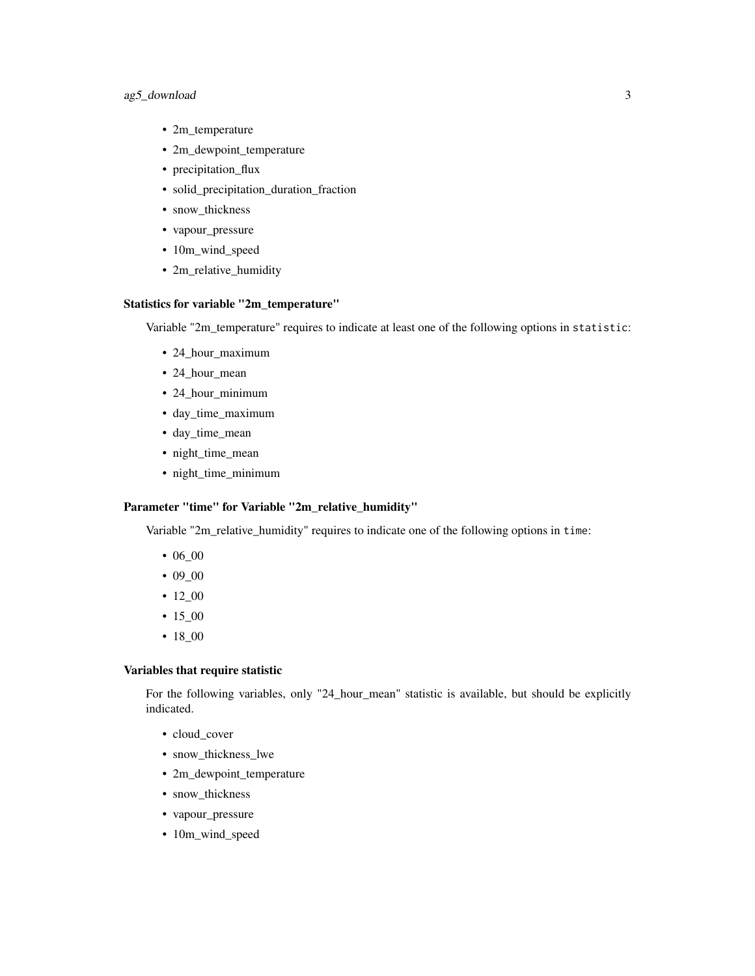#### ag5\_download 3

- 2m\_temperature
- 2m\_dewpoint\_temperature
- precipitation\_flux
- solid\_precipitation\_duration\_fraction
- snow\_thickness
- vapour\_pressure
- 10m\_wind\_speed
- 2m\_relative\_humidity

#### Statistics for variable "2m\_temperature"

Variable "2m\_temperature" requires to indicate at least one of the following options in statistic:

- 24\_hour\_maximum
- 24\_hour\_mean
- 24\_hour\_minimum
- day\_time\_maximum
- day\_time\_mean
- night\_time\_mean
- night\_time\_minimum

#### Parameter "time" for Variable "2m\_relative\_humidity"

Variable "2m\_relative\_humidity" requires to indicate one of the following options in time:

- 06\_00
- 09\_00
- 12\_00
- 15\_00
- 18\_00

#### Variables that require statistic

For the following variables, only "24\_hour\_mean" statistic is available, but should be explicitly indicated.

- cloud cover
- snow\_thickness\_lwe
- 2m\_dewpoint\_temperature
- snow\_thickness
- vapour\_pressure
- 10m\_wind\_speed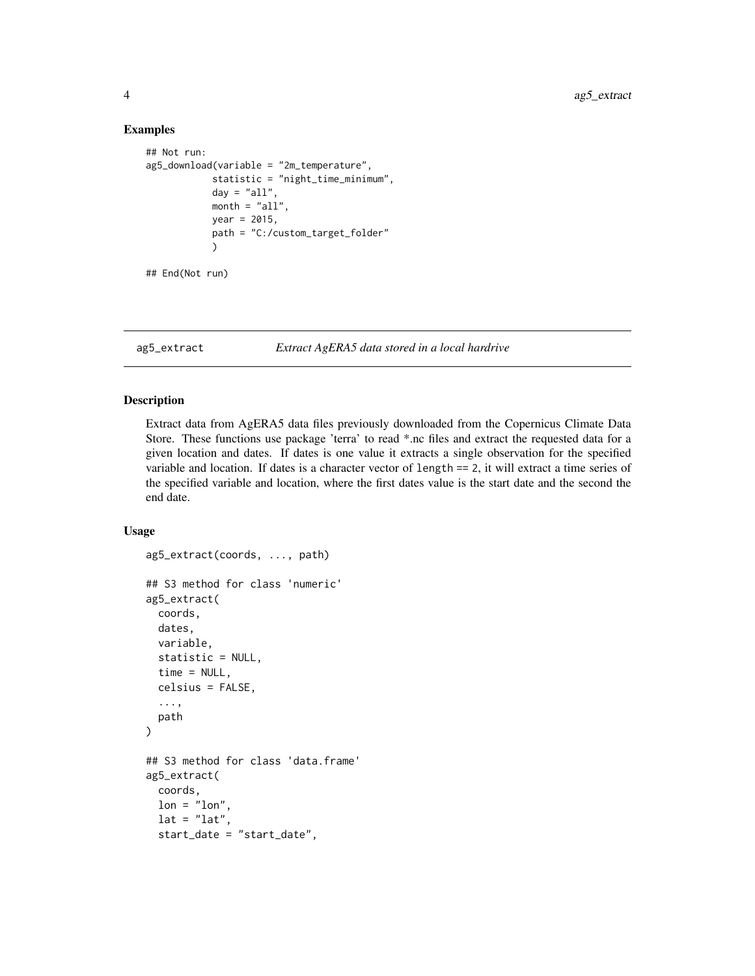#### Examples

```
## Not run:
ag5_download(variable = "2m_temperature",
            statistic = "night_time_minimum",
            day = "all",month = "all",year = 2015,
            path = "C:/custom_target_folder"
            )
## End(Not run)
```
ag5\_extract *Extract AgERA5 data stored in a local hardrive*

#### Description

Extract data from AgERA5 data files previously downloaded from the Copernicus Climate Data Store. These functions use package 'terra' to read \*.nc files and extract the requested data for a given location and dates. If dates is one value it extracts a single observation for the specified variable and location. If dates is a character vector of length == 2, it will extract a time series of the specified variable and location, where the first dates value is the start date and the second the end date.

#### Usage

```
ag5_extract(coords, ..., path)
## S3 method for class 'numeric'
ag5_extract(
 coords,
  dates,
  variable,
  statistic = NULL,
  time = NULL,
  celsius = FALSE,
  ...,
 path
)
## S3 method for class 'data.frame'
ag5_extract(
 coords,
  lon = "lon",lat = "lat",start_date = "start_date",
```
<span id="page-3-0"></span>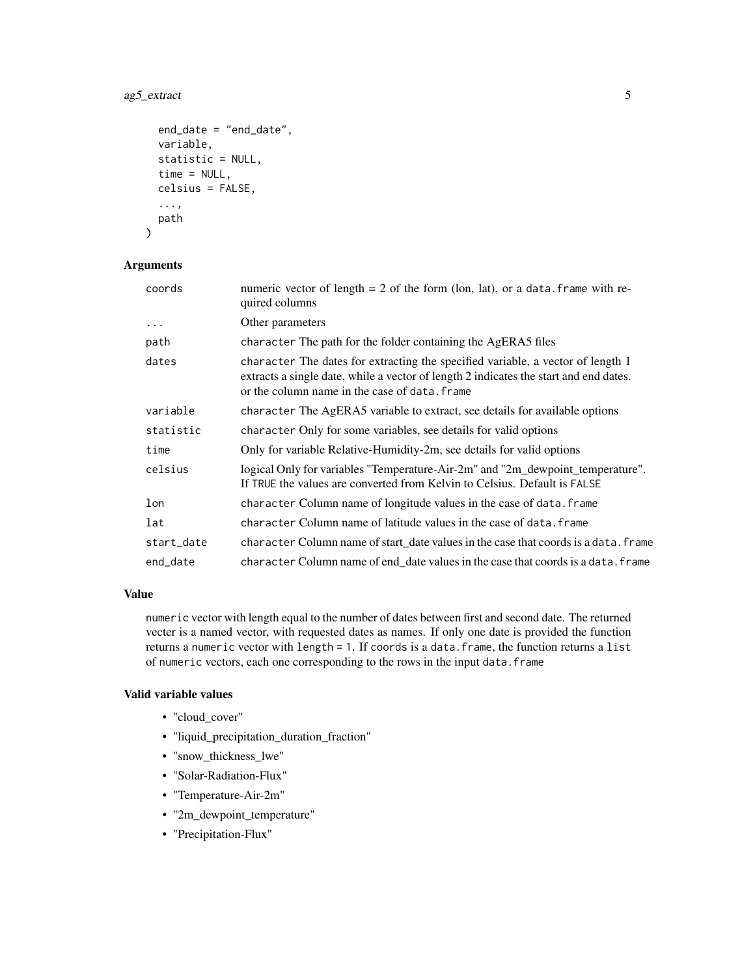#### ag5\_extract 5

```
end_date = "end_date",
  variable,
  statistic = NULL,
  time = NULL,
  celsius = FALSE,
  ...,
 path
\mathcal{L}
```
#### Arguments

| coords     | numeric vector of length = $2$ of the form (lon, lat), or a data. frame with re-<br>quired columns                                                                                                                        |
|------------|---------------------------------------------------------------------------------------------------------------------------------------------------------------------------------------------------------------------------|
| $\cdots$   | Other parameters                                                                                                                                                                                                          |
| path       | character The path for the folder containing the AgERA5 files                                                                                                                                                             |
| dates      | character The dates for extracting the specified variable, a vector of length 1<br>extracts a single date, while a vector of length 2 indicates the start and end dates.<br>or the column name in the case of data. frame |
| variable   | character The AgERA5 variable to extract, see details for available options                                                                                                                                               |
| statistic  | character Only for some variables, see details for valid options                                                                                                                                                          |
| time       | Only for variable Relative-Humidity-2m, see details for valid options                                                                                                                                                     |
| celsius    | logical Only for variables "Temperature-Air-2m" and "2m_dewpoint_temperature".<br>If TRUE the values are converted from Kelvin to Celsius. Default is FALSE                                                               |
| lon        | character Column name of longitude values in the case of data. frame                                                                                                                                                      |
| lat        | character Column name of latitude values in the case of data, frame                                                                                                                                                       |
| start_date | character Column name of start_date values in the case that coords is a data. frame                                                                                                                                       |
| end_date   | character Column name of end_date values in the case that coords is a data. frame                                                                                                                                         |

#### Value

numeric vector with length equal to the number of dates between first and second date. The returned vecter is a named vector, with requested dates as names. If only one date is provided the function returns a numeric vector with length = 1. If coords is a data.frame, the function returns a list of numeric vectors, each one corresponding to the rows in the input data. frame

#### Valid variable values

- "cloud\_cover"
- "liquid\_precipitation\_duration\_fraction"
- "snow\_thickness\_lwe"
- "Solar-Radiation-Flux"
- "Temperature-Air-2m"
- "2m\_dewpoint\_temperature"
- "Precipitation-Flux"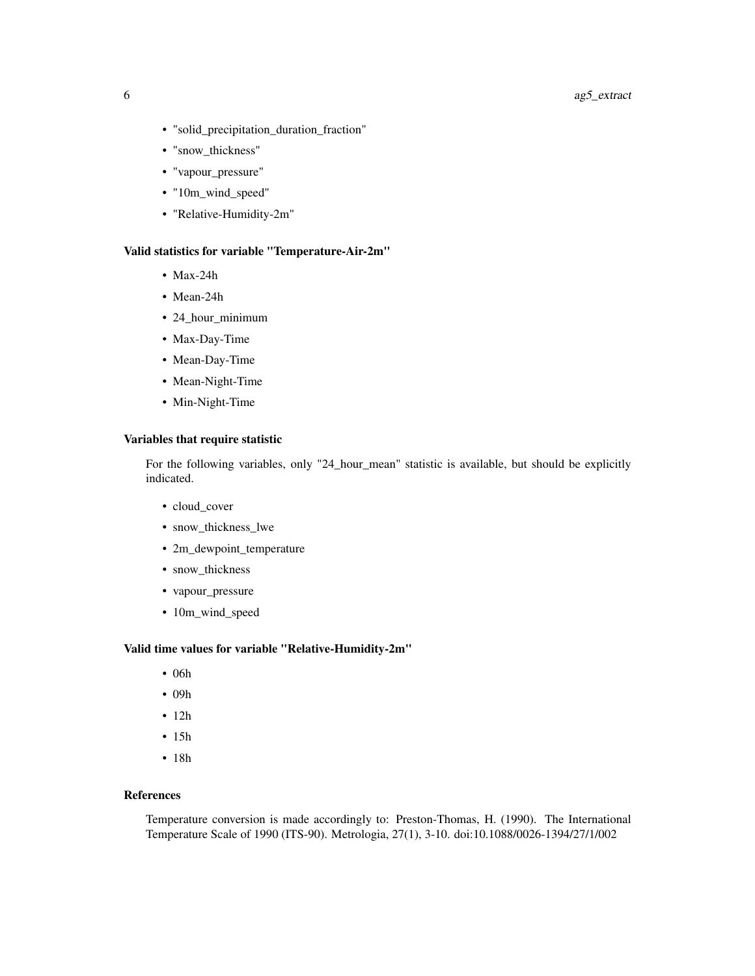#### 6 ag5\_extract

- "solid\_precipitation\_duration\_fraction"
- "snow\_thickness"
- "vapour\_pressure"
- "10m\_wind\_speed"
- "Relative-Humidity-2m"

#### Valid statistics for variable "Temperature-Air-2m"

- Max-24h
- Mean-24h
- 24\_hour\_minimum
- Max-Day-Time
- Mean-Day-Time
- Mean-Night-Time
- Min-Night-Time

#### Variables that require statistic

For the following variables, only "24\_hour\_mean" statistic is available, but should be explicitly indicated.

- cloud\_cover
- snow\_thickness\_lwe
- 2m\_dewpoint\_temperature
- snow\_thickness
- vapour\_pressure
- 10m\_wind\_speed

#### Valid time values for variable "Relative-Humidity-2m"

- 06h
- 09h
- 12h
- 15h
- 18h

#### References

Temperature conversion is made accordingly to: Preston-Thomas, H. (1990). The International Temperature Scale of 1990 (ITS-90). Metrologia, 27(1), 3-10. doi:10.1088/0026-1394/27/1/002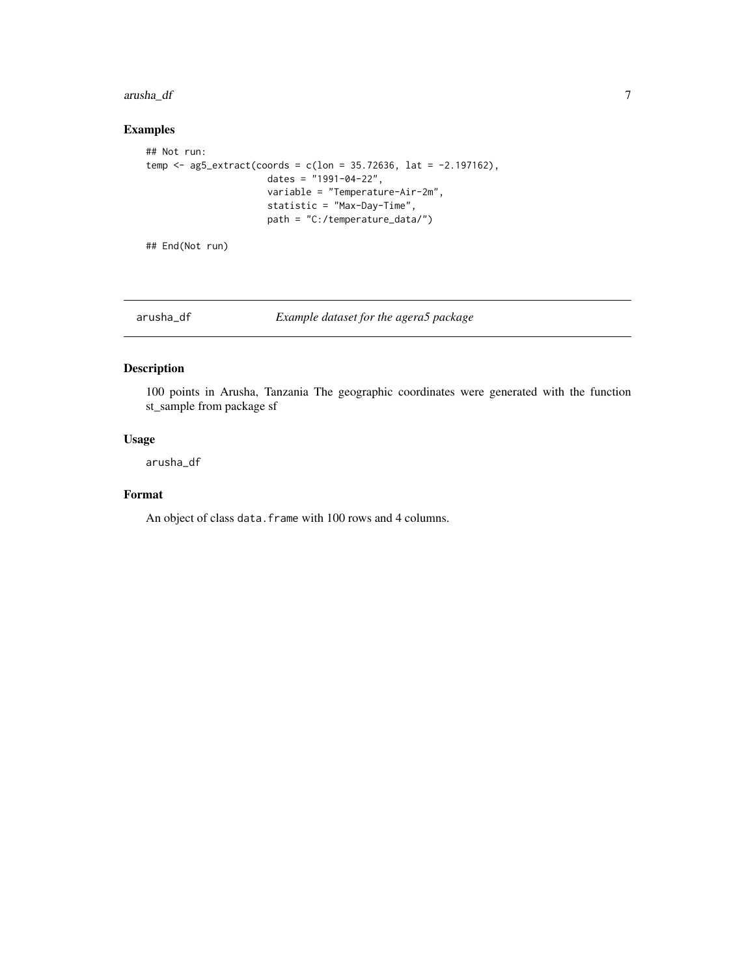#### <span id="page-6-0"></span>arusha\_df 7

#### Examples

```
## Not run:
temp <- ag5_extract(coords = c(lon = 35.72636, lat = -2.197162),
                      dates = "1991-04-22",
                      variable = "Temperature-Air-2m",
                      statistic = "Max-Day-Time",
                      path = "C:/temperature_data/")
```
## End(Not run)

arusha\_df *Example dataset for the agera5 package*

#### Description

100 points in Arusha, Tanzania The geographic coordinates were generated with the function st\_sample from package sf

#### Usage

arusha\_df

#### Format

An object of class data. frame with 100 rows and 4 columns.